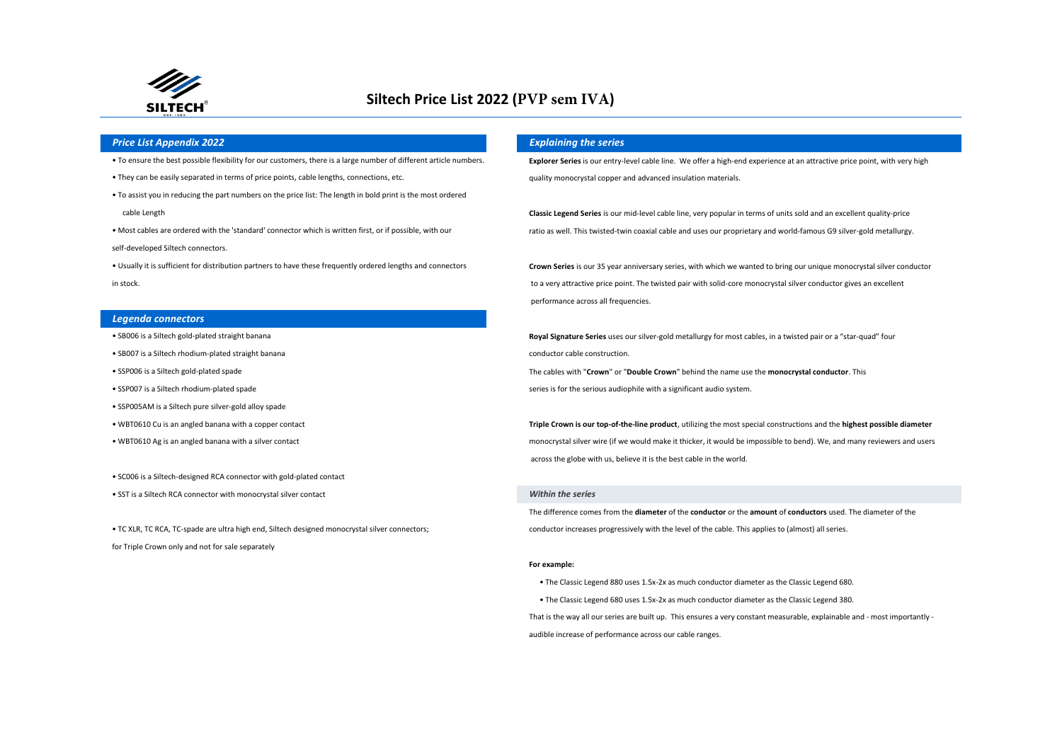

# **Siltech Price List 2022 (PVP sem IVA)**

## *Price List Appendix 2022 Explaining the series*

- 
- They can be easily separated in terms of price points, cable lengths, connections, etc.
- cable Length • To assist you in reducing the part numbers on the price list: The length in bold print is the most ordered
- Most cables are ordered with the 'standard' connector which is written first, or if possible, with our
- self-developed Siltech connectors.
- Usually it is sufficient for distribution partners to have these frequently ordered lengths and connectors

#### *Legenda connectors*

- 
- SB007 is a Siltech rhodium-plated straight banana conductor cable construction.
- 
- 
- SSP005AM is a Siltech pure silver-gold alloy spade
- 
- 
- SC006 is a Siltech-designed RCA connector with gold-plated contact
- SST is a Siltech RCA connector with monocrystal silver contact

for Triple Crown only and not for sale separately

. To ensure the best possible flexibility for our customers, there is a large number of different article numbers. Explorer Series is our entry-level cable line. We offer a high-end experience at an attractive price point, quality monocrystal copper and advanced insulation materials.

> **Classic Legend Series** is our mid-level cable line, very popular in terms of units sold and an excellent quality-price ratio as well. This twisted-twin coaxial cable and uses our proprietary and world-famous G9 silver-gold metallurgy.

**Crown Series** is our 35 year anniversary series, with which we wanted to bring our unique monocrystal silver conductor in stock. to a very attractive price point. The twisted pair with solid-core monocrystal silver conductor gives an excellent performance across all frequencies.

• SB006 is a Siltech gold-plated straight banana **Royal Signature Series** uses our silver-gold metallurgy for most cables, in a twisted pair or a "star-quad" four • SSP006 is a Siltech gold-plated spade The cables with "**Crown**" or "**Double Crown**" behind the name use the **monocrystal conductor**. This

• SSP007 is a Siltech rhodium-plated spade series and series is for the serious audiophile with a significant audio system.

• WBT0610 Cu is an angled banana with a copper contact **Triple Crown is our top-of-the-line product**, utilizing the most special constructions and the **highest possible diameter Triple Crown is our top-of-the-line produc** • WBT0610 Ag is an angled banana with a silver contact example and users and users and users and users and users and users and users and users and users and users and users and users and users and users and users and users across the globe with us, believe it is the best cable in the world.

### *Within the series*

The difference comes from the **diameter** of the **conductor** or the **amount** of **conductors** used. The diameter of the • TC XLR, TC RCA, TC-spade are ultra high end, Siltech designed monocrystal silver connectors; conductor increases progressively with the level of the cable. This applies to (almost) all series.

#### **For example:**

• The Classic Legend 880 uses 1.5x-2x as much conductor diameter as the Classic Legend 680.

• The Classic Legend 680 uses 1.5x-2x as much conductor diameter as the Classic Legend 380.

That is the way all our series are built up. This ensures a very constant measurable, explainable and - most importantly audible increase of performance across our cable ranges.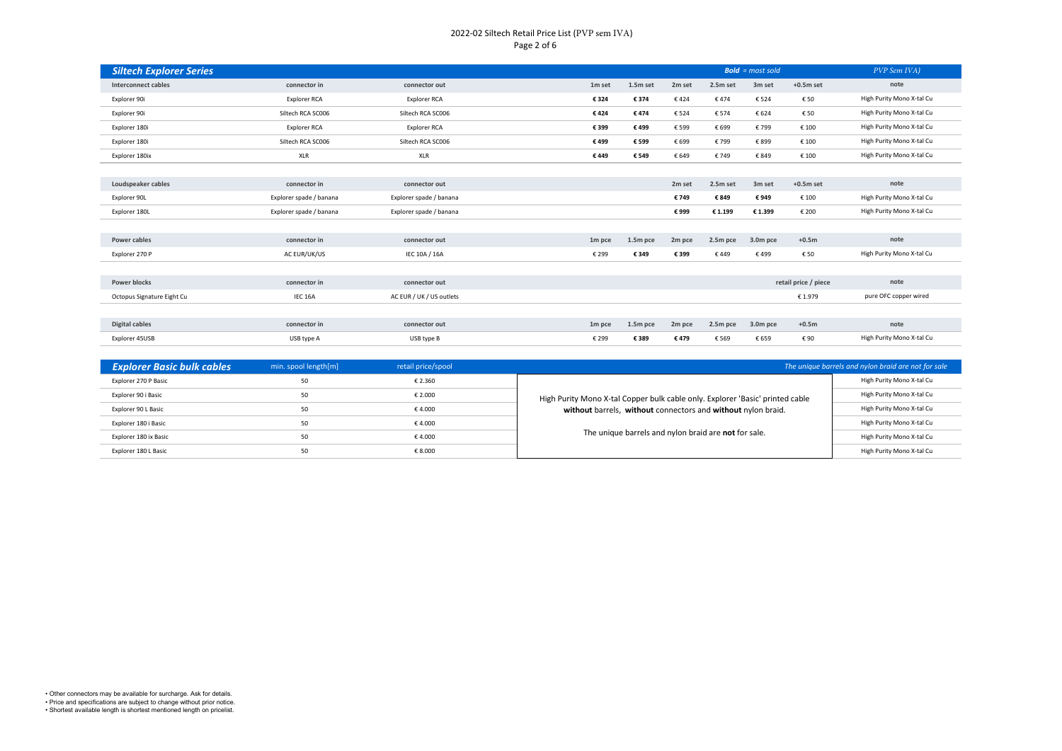## 2022-02 Siltech Retail Price List (PVP sem IVA) Page 2 of 6

| <b>Siltech Explorer Series</b> |                         |                          |                    |          |        |          | <b>Bold</b> = $most$ sold |                      | PVP Sem IVA)              |
|--------------------------------|-------------------------|--------------------------|--------------------|----------|--------|----------|---------------------------|----------------------|---------------------------|
| <b>Interconnect cables</b>     | connector in            | connector out            | 1m set             | 1.5m set | 2m set | 2.5m set | 3m set                    | $+0.5m$ set          | note                      |
| Explorer 90i                   | <b>Explorer RCA</b>     | Explorer RCA             | € 324              | € 374    | €424   | €474     | € 524                     | € 50                 | High Purity Mono X-tal Cu |
| Explorer 90i                   | Siltech RCA SC006       | Siltech RCA SC006        | €424               | €474     | € 524  | € 574    | € 624                     | € 50                 | High Purity Mono X-tal Cu |
| Explorer 180i                  | <b>Explorer RCA</b>     | Explorer RCA             | € 399              | €499     | € 599  | € 699    | €799                      | € 100                | High Purity Mono X-tal Cu |
| Explorer 180i                  | Siltech RCA SC006       | Siltech RCA SC006        | € 499              | € 599    | € 699  | € 799    | € 899                     | € 100                | High Purity Mono X-tal Cu |
| Explorer 180ix                 | XLR                     | XLR                      | €449               | € 549    | € 649  | €749     | € 849                     | € 100                | High Purity Mono X-tal Cu |
|                                |                         |                          |                    |          |        |          |                           |                      |                           |
| Loudspeaker cables             | connector in            | connector out            |                    |          | 2m set | 2.5m set | 3m set                    | $+0.5m$ set          | note                      |
| Explorer 90L                   | Explorer spade / banana | Explorer spade / banana  |                    |          | €749   | €849     | €949                      | € 100                | High Purity Mono X-tal Cu |
| Explorer 180L                  | Explorer spade / banana | Explorer spade / banana  |                    |          | €999   | €1.199   | € 1.399                   | € 200                | High Purity Mono X-tal Cu |
|                                |                         |                          |                    |          |        |          |                           |                      |                           |
| Power cables                   | connector in            | connector out            | 1m pce             | 1.5m pce | 2m pce | 2.5m pce | 3.0m pce                  | $+0.5m$              | note                      |
| Explorer 270 P                 | AC EUR/UK/US            | IEC 10A / 16A            | € 299              | € 349    | € 399  | €449     | €499                      | € 50                 | High Purity Mono X-tal Cu |
|                                |                         |                          |                    |          |        |          |                           |                      |                           |
| <b>Power blocks</b>            | connector in            | connector out            |                    |          |        |          |                           | retail price / piece | note                      |
| Octopus Signature Eight Cu     | IEC 16A                 | AC EUR / UK / US outlets |                    |          |        |          |                           | € 1.979              | pure OFC copper wired     |
|                                |                         |                          |                    |          |        |          |                           |                      |                           |
| Digital cables                 | connector in            | connector out            | 1 <sub>m</sub> pce | 1.5m pce | 2m pce | 2.5m pce | 3.0m pce                  | $+0.5m$              | note                      |
| Explorer 45USB                 | USB type A              | USB type B               | € 299              | € 389    | €479   | € 569    | € 659                     | € 90                 | High Purity Mono X-tal Cu |

| <b>Explorer Basic bulk cables</b> | min. spool length [m] | retail price/spool |                                                                               | The unique barrels and nylon braid are not for sale |
|-----------------------------------|-----------------------|--------------------|-------------------------------------------------------------------------------|-----------------------------------------------------|
| Explorer 270 P Basic              | 50                    | € 2.360            |                                                                               | High Purity Mono X-tal Cu                           |
| Explorer 90 i Basic               | 50                    | € 2.000            | High Purity Mono X-tal Copper bulk cable only. Explorer 'Basic' printed cable | High Purity Mono X-tal Cu                           |
| Explorer 90 L Basic               | 50                    | € 4.000            | without barrels, without connectors and without nylon braid.                  | High Purity Mono X-tal Cu                           |
| Explorer 180 i Basic              | 50                    | € 4.000            |                                                                               | High Purity Mono X-tal Cu                           |
| Explorer 180 ix Basic             | 50                    | € 4.000            | The unique barrels and nylon braid are not for sale.                          | High Purity Mono X-tal Cu                           |
| Explorer 180 L Basic              | 50                    | € 8.000            |                                                                               | High Purity Mono X-tal Cu                           |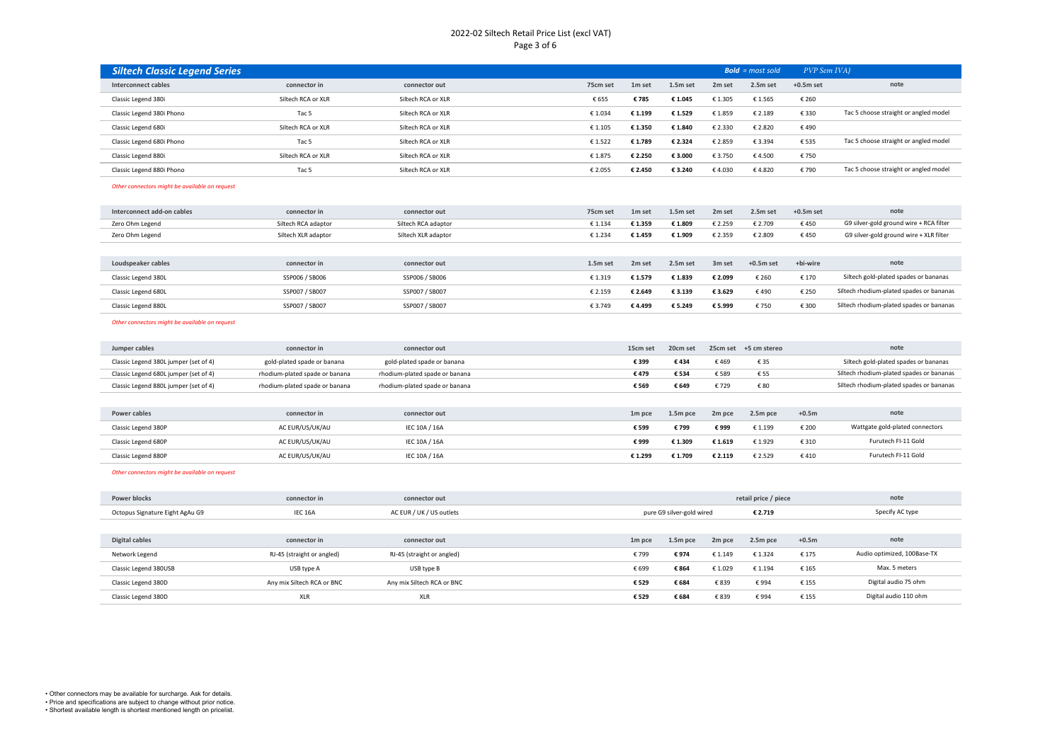## 2022-02 Siltech Retail Price List (excl VAT) Page 3 of 6

| <b>Siltech Classic Legend Series</b> |                    |                    |          |         |          |                    | $Bold = most sold$ | PVP Sem IVA) |                                       |
|--------------------------------------|--------------------|--------------------|----------|---------|----------|--------------------|--------------------|--------------|---------------------------------------|
| Interconnect cables                  | connector in       | connector out      | 75cm set | 1m set  | 1.5m set | 2 <sub>m</sub> set | 2.5m set           | $+0.5m$ set  | note                                  |
| Classic Legend 380i                  | Siltech RCA or XLR | Siltech RCA or XLR | € 655    | €785    | € 1.045  | €1.305             | € 1.565            | € 260        |                                       |
| Classic Legend 380i Phono            | Tac <sub>5</sub>   | Siltech RCA or XLR | € 1.034  | € 1.199 | €1.529   | €1.859             | € 2.189            | €330         | Tac 5 choose straight or angled model |
| Classic Legend 680i                  | Siltech RCA or XLR | Siltech RCA or XLR | € 1.105  | € 1.350 | € 1.840  | € 2.330            | € 2.820            | €490         |                                       |
| Classic Legend 680i Phono            | Tac 5              | Siltech RCA or XLR | €1.522   | € 1.789 | € 2.324  | € 2.859            | € 3.394            | € 535        | Tac 5 choose straight or angled model |
| Classic Legend 880i                  | Siltech RCA or XLR | Siltech RCA or XLR | € 1.875  | € 2.250 | € 3.000  | € 3.750            | €4.500             | €750         |                                       |
| Classic Legend 880i Phono            | Tac 5              | Siltech RCA or XLR | € 2.055  | € 2.450 | € 3.240  | €4.030             | €4.820             | € 790        | Tac 5 choose straight or angled model |

### *Other connectors might be available on request*

| connector in        | connector out       | 75cm set   | 1m set             | 1.5m set | 2 <sub>m</sub> set | 2.5m set    | $+0.5m$ set | note                                     |
|---------------------|---------------------|------------|--------------------|----------|--------------------|-------------|-------------|------------------------------------------|
| Siltech RCA adaptor | Siltech RCA adaptor | € 1.134    | € 1.359            | € 1.809  | € 2.259            | € 2.709     | €450        | G9 silver-gold ground wire + RCA filter  |
| Siltech XLR adaptor | Siltech XLR adaptor | € 1.234    | € 1.459            | € 1.909  | € 2.359            | € 2.809     | €450        | G9 silver-gold ground wire + XLR filter  |
|                     |                     |            |                    |          |                    |             |             |                                          |
| connector in        | connector out       | $1.5m$ set | 2 <sub>m</sub> set | 2.5m set | 3 <sub>m</sub> set | $+0.5m$ set | +bi-wire    | note                                     |
| SSP006 / SB006      | SSP006 / SB006      | € 1.319    | € 1.579            | € 1.839  | € 2.099            | € 260       | € 170       | Siltech gold-plated spades or bananas    |
| SSP007 / SB007      | SSP007 / SB007      | € 2.159    | € 2.649            | € 3.139  | €3.629             | €490        | € 250       | Siltech rhodium-plated spades or bananas |
| SSP007 / SB007      | SSP007 / SB007      | € 3.749    | €4.499             | € 5.249  | € 5.999            | €750        | € 300       | Siltech rhodium-plated spades or bananas |
|                     |                     |            |                    |          |                    |             |             |                                          |

#### *Other connectors might be available on request*

| Jumper cables                         | connector in                   | connector out                  | 15cm set           | 20cm set |         | 25cm set +5 cm stereo |         | note                                     |
|---------------------------------------|--------------------------------|--------------------------------|--------------------|----------|---------|-----------------------|---------|------------------------------------------|
| Classic Legend 380L jumper (set of 4) | gold-plated spade or banana    | gold-plated spade or banana    | € 399              | €434     | €469    | € 35                  |         | Siltech gold-plated spades or bananas    |
| Classic Legend 680L jumper (set of 4) | rhodium-plated spade or banana | rhodium-plated spade or banana | €479               | € 534    | € 589   | € 55                  |         | Siltech rhodium-plated spades or bananas |
| Classic Legend 880L jumper (set of 4) | rhodium-plated spade or banana | rhodium-plated spade or banana | € 569              | € 649    | €729    | € 80                  |         | Siltech rhodium-plated spades or bananas |
|                                       |                                |                                |                    |          |         |                       |         |                                          |
| Power cables                          | connector in                   | connector out                  | 1 <sub>m</sub> pce | 1.5m pce | 2m pce  | 2.5m pce              | $+0.5m$ | note                                     |
| Classic Legend 380P                   | AC EUR/US/UK/AU                | IEC 10A / 16A                  | € 599              | €799     | €999    | € 1.199               | € 200   | Wattgate gold-plated connectors          |
| Classic Legend 680P                   | AC EUR/US/UK/AU                | IEC 10A / 16A                  | €999               | € 1.309  | €1.619  | € 1.929               | € 310   | Furutech FI-11 Gold                      |
| Classic Legend 880P                   | AC EUR/US/UK/AU                | IEC 10A / 16A                  | € 1.299            | € 1.709  | € 2.119 | € 2.529               | €410    | Furutech FI-11 Gold                      |

#### *Other connectors might be available on request*

| <b>Power blocks</b>             | connector in               | connector out              |                    |                                 |         | retail price / piece | note                  |                             |
|---------------------------------|----------------------------|----------------------------|--------------------|---------------------------------|---------|----------------------|-----------------------|-----------------------------|
| Octopus Signature Eight AgAu G9 | IEC 16A                    | AC EUR / UK / US outlets   |                    | pure G9 silver-gold wired       | € 2.719 |                      | Specify AC type       |                             |
|                                 |                            |                            |                    |                                 |         |                      |                       |                             |
| Digital cables                  | connector in               | connector out              | 1 <sub>m</sub> pce | 1.5m pce                        | 2m pce  | 2.5m pce             | $+0.5m$               | note                        |
| Network Legend                  | RJ-45 (straight or angled) | RJ-45 (straight or angled) | € 799              | €974                            | € 1.149 | € 1.324              | € 175                 | Audio optimized, 100Base-TX |
| Classic Legend 380USB           | USB type A                 | USB type B                 | € 699              | € 864                           | €1.029  | € 1.194              | € 165                 | Max. 5 meters               |
| Classic Legend 380D             | Any mix Siltech RCA or BNC | Any mix Siltech RCA or BNC | € 529              | € 684                           | € 839   | €994                 | €155                  | Digital audio 75 ohm        |
| Classic Legend 380D             | <b>XLR</b>                 | <b>XLR</b>                 |                    | € 684<br>€ 839<br>€994<br>€ 529 |         | € 155                | Digital audio 110 ohm |                             |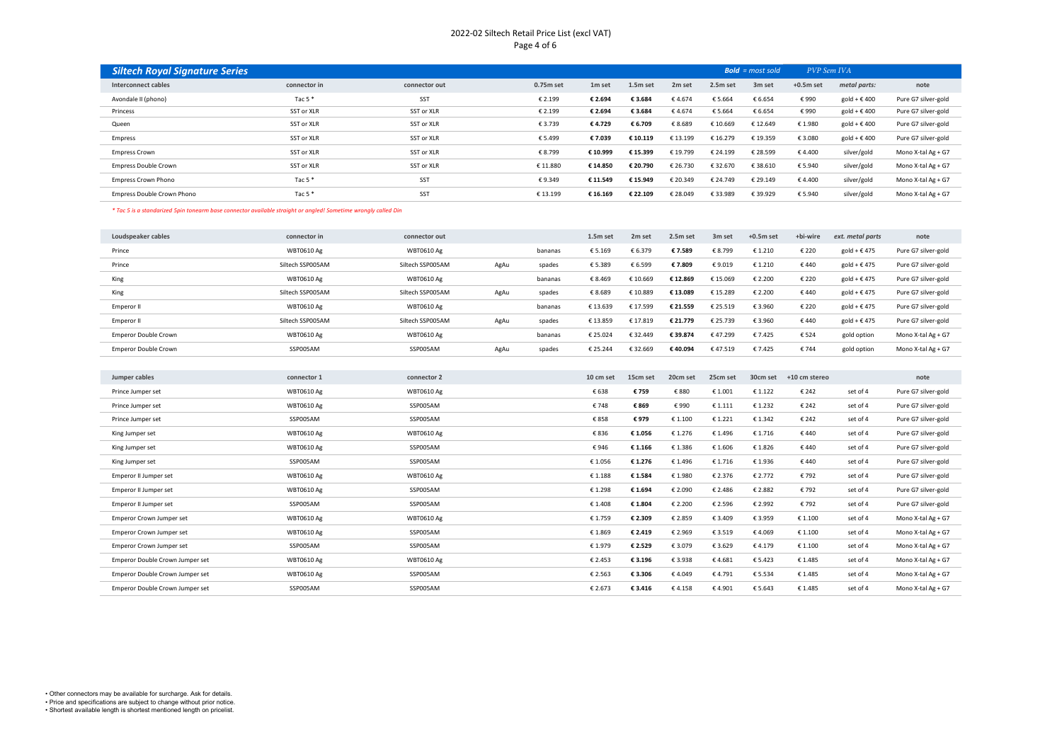## 2022-02 Siltech Retail Price List (excl VAT) Page 4 of 6

| <b>Siltech Royal Signature Series</b> |              |               |           |                    |          |                    | <b>Bold</b> = $most sold$ |                    | PVP Sem IVA |                       |                     |
|---------------------------------------|--------------|---------------|-----------|--------------------|----------|--------------------|---------------------------|--------------------|-------------|-----------------------|---------------------|
| <b>Interconnect cables</b>            | connector in | connector out | 0.75m set | 1 <sub>m</sub> set | 1.5m set | 2 <sub>m</sub> set | 2.5m set                  | 3 <sub>m</sub> set | $+0.5m$ set | metal parts:          | note                |
| Avondale II (phono)                   | Tac 5 $*$    | SST           | € 2.199   | € 2.694            | € 3.684  | €4.674             | €5.664                    | € 6.654            | €990        | gold + $\epsilon$ 400 | Pure G7 silver-gold |
| Princess                              | SST or XLR   | SST or XLR    | € 2.199   | € 2.694            | € 3.684  | €4.674             | €5.664                    | € 6.654            | €990        | gold + $\epsilon$ 400 | Pure G7 silver-gold |
| Queen                                 | SST or XLR   | SST or XLR    | € 3.739   | €4.729             | € 6.709  | € 8.689            | € 10.669                  | € 12.649           | € 1.980     | gold + $\epsilon$ 400 | Pure G7 silver-gold |
| Empress                               | SST or XLR   | SST or XLR    | € 5.499   | €7.039             | € 10.119 | € 13.199           | € 16.279                  | € 19.359           | € 3.080     | gold + $\epsilon$ 400 | Pure G7 silver-gold |
| <b>Empress Crown</b>                  | SST or XLR   | SST or XLR    | € 8.799   | € 10.999           | € 15.399 | € 19.799           | € 24.199                  | € 28.599           | €4.400      | silver/gold           | Mono X-tal Ag + G7  |
| <b>Empress Double Crown</b>           | SST or XLR   | SST or XLR    | € 11.880  | € 14.850           | € 20.790 | € 26.730           | € 32.670                  | €38.610            | € 5.940     | silver/gold           | Mono X-tal Ag + G7  |
| <b>Empress Crown Phono</b>            | Tac 5 $*$    | SST           | €9.349    | € 11.549           | € 15.949 | € 20.349           | € 24.749                  | € 29.149           | €4.400      | silver/gold           | Mono X-tal Ag + G7  |
| Empress Double Crown Phono            | Tac $5*$     | SST           | € 13.199  | € 16.169           | € 22.109 | € 28.049           | € 33.989                  | €39.929            | € 5.940     | silver/gold           | Mono X-tal Ag + G7  |

*\* Tac 5 is a standarized 5pin tonearm base connector available straight or angled! Sometime wrongly called Din*

| Loudspeaker cables          | connector in      | connector out     |      |         | 1.5m set  | 2 <sub>m</sub> set | 2.5m set | 3 <sub>m</sub> set | $+0.5m$ set | +bi-wire      | ext. metal parts      | note                |
|-----------------------------|-------------------|-------------------|------|---------|-----------|--------------------|----------|--------------------|-------------|---------------|-----------------------|---------------------|
| Prince                      | <b>WBT0610 Ag</b> | <b>WBT0610 Ag</b> |      | bananas | €5.169    | € 6.379            | €7.589   | €8.799             | € 1.210     | € 220         | gold + $\epsilon$ 475 | Pure G7 silver-gold |
| Prince                      | Siltech SSP005AM  | Siltech SSP005AM  | AgAu | spades  | €5.389    | € 6.599            | €7.809   | €9.019             | € 1.210     | €440          | gold + $\epsilon$ 475 | Pure G7 silver-gold |
| King                        | <b>WBT0610 Ag</b> | <b>WBT0610 Ag</b> |      | bananas | € 8.469   | € 10.669           | € 12.869 | € 15.069           | € 2.200     | € 220         | gold + $\epsilon$ 475 | Pure G7 silver-gold |
| King                        | Siltech SSP005AM  | Siltech SSP005AM  | AgAu | spades  | €8.689    | € 10.889           | €13.089  | € 15.289           | € 2.200     | €440          | gold + $\epsilon$ 475 | Pure G7 silver-gold |
| Emperor II                  | <b>WBT0610 Ag</b> | <b>WBT0610 Ag</b> |      | bananas | € 13.639  | € 17.599           | € 21.559 | € 25.519           | € 3.960     | € 220         | gold + $\epsilon$ 475 | Pure G7 silver-gold |
| Emperor II                  | Siltech SSP005AM  | Siltech SSP005AM  | AgAu | spades  | € 13.859  | € 17.819           | € 21.779 | € 25.739           | € 3.960     | €440          | gold + $\epsilon$ 475 | Pure G7 silver-gold |
| <b>Emperor Double Crown</b> | <b>WBT0610 Ag</b> | <b>WBT0610 Ag</b> |      | bananas | € 25.024  | € 32.449           | €39.874  | €47.299            | €7.425      | €524          | gold option           | Mono X-tal Ag + G7  |
| Emperor Double Crown        | SSP005AM          | SSP005AM          | AgAu | spades  | € 25.244  | € 32.669           | €40.094  | €47.519            | € 7.425     | €744          | gold option           | Mono X-tal Ag + G7  |
|                             |                   |                   |      |         |           |                    |          |                    |             |               |                       |                     |
| Jumper cables               | connector 1       | connector 2       |      |         | 10 cm set | 15cm set           | 20cm set | 25cm set           | 30cm set    | +10 cm stereo |                       | note                |
| Prince Jumper set           | <b>WBT0610 Ag</b> | <b>WBT0610 Ag</b> |      |         | € 638     | € 759              | € 880    | €1.001             | € 1.122     | € 242         | set of 4              | Pure G7 silver-gold |
| Prince Jumper set           | <b>WBT0610 Ag</b> | SSP005AM          |      |         | €748      | € 869              | €990     | €1.111             | €1.232      | € 242         | set of 4              | Pure G7 silver-gold |

| Prince Jumper set               | <b>WBT0610 Ag</b> | SSP005AM          | € 748   | € 869   | €990    | € 1.111 | €1.232  | € 242   | set of 4 | Pure G7 silver-gold |
|---------------------------------|-------------------|-------------------|---------|---------|---------|---------|---------|---------|----------|---------------------|
| Prince Jumper set               | SSP005AM          | SSP005AM          | € 858   | €979    | € 1.100 | €1.221  | € 1.342 | € 242   | set of 4 | Pure G7 silver-gold |
| King Jumper set                 | <b>WBT0610 Ag</b> | <b>WBT0610 Ag</b> | € 836   | € 1.056 | € 1.276 | € 1.496 | € 1.716 | €440    | set of 4 | Pure G7 silver-gold |
| King Jumper set                 | <b>WBT0610 Ag</b> | SSP005AM          | €946    | € 1.166 | €1.386  | €1.606  | €1.826  | €440    | set of 4 | Pure G7 silver-gold |
| King Jumper set                 | SSP005AM          | SSP005AM          | €1.056  | € 1.276 | € 1.496 | €1.716  | €1.936  | €440    | set of 4 | Pure G7 silver-gold |
| Emperor II Jumper set           | <b>WBT0610 Ag</b> | <b>WBT0610 Ag</b> | €1.188  | € 1.584 | € 1.980 | € 2.376 | € 2.772 | €792    | set of 4 | Pure G7 silver-gold |
| Emperor II Jumper set           | <b>WBT0610 Ag</b> | SSP005AM          | €1.298  | € 1.694 | € 2.090 | € 2.486 | € 2.882 | €792    | set of 4 | Pure G7 silver-gold |
| Emperor II Jumper set           | SSP005AM          | SSP005AM          | € 1.408 | € 1.804 | € 2.200 | € 2.596 | € 2.992 | €792    | set of 4 | Pure G7 silver-gold |
| Emperor Crown Jumper set        | <b>WBT0610 Ag</b> | <b>WBT0610 Ag</b> | €1.759  | € 2.309 | € 2.859 | €3.409  | € 3.959 | € 1.100 | set of 4 | Mono X-tal Ag + G7  |
| Emperor Crown Jumper set        | <b>WBT0610 Ag</b> | SSP005AM          | € 1.869 | € 2.419 | € 2.969 | €3.519  | €4.069  | € 1.100 | set of 4 | Mono X-tal Ag + G7  |
| Emperor Crown Jumper set        | SSP005AM          | SSP005AM          | €1.979  | € 2.529 | € 3.079 | €3.629  | €4.179  | € 1.100 | set of 4 | Mono X-tal Ag + G7  |
| Emperor Double Crown Jumper set | <b>WBT0610 Ag</b> | <b>WBT0610 Ag</b> | € 2.453 | € 3.196 | €3.938  | €4.681  | € 5.423 | € 1.485 | set of 4 | Mono X-tal Ag + G7  |
| Emperor Double Crown Jumper set | <b>WBT0610 Ag</b> | SSP005AM          | € 2.563 | € 3.306 | €4.049  | €4.791  | € 5.534 | € 1.485 | set of 4 | Mono X-tal Ag + G7  |
| Emperor Double Crown Jumper set | SSP005AM          | SSP005AM          | € 2.673 | € 3.416 | €4.158  | €4.901  | €5.643  | € 1.485 | set of 4 | Mono X-tal Ag + G7  |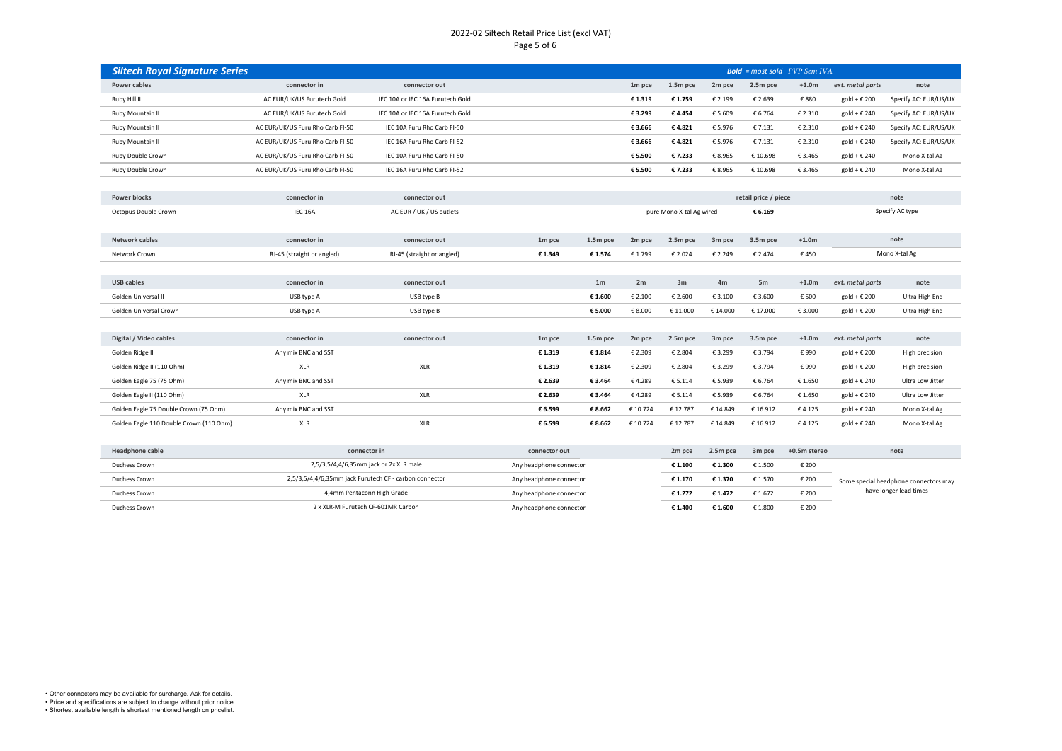## 2022-02 Siltech Retail Price List (excl VAT) Page 5 of 6

| <b>Siltech Royal Signature Series</b> |                                  |                                  |                    |          |         | <b>Bold</b> = most sold $PVP$ Sem IVA |         |                       |                       |
|---------------------------------------|----------------------------------|----------------------------------|--------------------|----------|---------|---------------------------------------|---------|-----------------------|-----------------------|
| Power cables                          | connector in                     | connector out                    | 1 <sub>m</sub> pce | 1.5m pce | 2m pce  | 2.5m pce                              | $+1.0m$ | ext. metal parts      | note                  |
| Ruby Hill II                          | AC EUR/UK/US Furutech Gold       | IEC 10A or IEC 16A Furutech Gold | € 1.319            | € 1.759  | € 2.199 | € 2.639                               | €880    | gold + $\epsilon$ 200 | Specify AC: EUR/US/UK |
| Ruby Mountain II                      | AC EUR/UK/US Furutech Gold       | IEC 10A or IEC 16A Furutech Gold | € 3.299            | €4.454   | €5.609  | € 6.764                               | € 2.310 | gold + € 240          | Specify AC: EUR/US/UK |
| Ruby Mountain II                      | AC EUR/UK/US Furu Rho Carb FI-50 | IEC 10A Furu Rho Carb EI-50      | € 3.666            | €4.821   | € 5.976 | € 7.131                               | € 2.310 | gold + € 240          | Specify AC: EUR/US/UK |
| Ruby Mountain II                      | AC EUR/UK/US Furu Rho Carb FI-50 | IEC 16A Furu Rho Carb FI-52      | € 3.666            | €4.821   | € 5.976 | € 7.131                               | € 2.310 | gold + $\epsilon$ 240 | Specify AC: EUR/US/UK |
| Ruby Double Crown                     | AC EUR/UK/US Furu Rho Carb FI-50 | IEC 10A Furu Rho Carb FI-50      | € 5.500            | €7.233   | €8.965  | E 10.698                              | € 3.465 | gold + € 240          | Mono X-tal Ag         |
| Ruby Double Crown                     | AC EUR/UK/US Furu Rho Carb FI-50 | IEC 16A Furu Rho Carb FI-52      | € 5.500            | €7.233   | €8.965  | € 10.698                              | € 3.465 | gold + € 240          | Mono X-tal Ag         |
|                                       |                                  |                                  |                    |          |         |                                       |         |                       |                       |

| <b>Power blocks</b>                     | connector in               | connector out                             |                                  |                |          |                          |          | retail price / piece |              | note                  |                  |
|-----------------------------------------|----------------------------|-------------------------------------------|----------------------------------|----------------|----------|--------------------------|----------|----------------------|--------------|-----------------------|------------------|
| Octopus Double Crown                    | IEC 16A                    | AC EUR / UK / US outlets                  |                                  |                |          | pure Mono X-tal Ag wired |          | € 6.169              |              |                       | Specify AC type  |
|                                         |                            |                                           |                                  |                |          |                          |          |                      |              |                       |                  |
| Network cables                          | connector in               | connector out                             | 1 <sub>m</sub> pce               | 1.5m pce       | 2m pce   | 2.5m pce                 | 3m pce   | 3.5m pce             | $+1.0m$      |                       | note             |
| Network Crown                           | RJ-45 (straight or angled) | RJ-45 (straight or angled)                | € 1.349                          | €1.574         | € 1.799  | € 2.024                  | € 2.249  | € 2.474              | €450         |                       | Mono X-tal Ag    |
|                                         |                            |                                           |                                  |                |          |                          |          |                      |              |                       |                  |
| <b>USB cables</b>                       | connector in               | connector out                             |                                  | 1 <sub>m</sub> | 2m       | 3m                       | 4m       | 5m                   | $+1.0m$      | ext. metal parts      | note             |
| Golden Universal II                     | USB type A                 | USB type B                                |                                  | €1.600         | € 2.100  | € 2.600                  | € 3.100  | € 3.600              | € 500        | gold + € 200          | Ultra High End   |
| Golden Universal Crown                  | USB type A                 | USB type B                                |                                  | €5.000         | € 8.000  | € 11.000                 | € 14.000 | € 17.000             | € 3.000      | gold + $\epsilon$ 200 | Ultra High End   |
|                                         |                            |                                           |                                  |                |          |                          |          |                      |              |                       |                  |
| Digital / Video cables                  | connector in               | connector out                             | 1 <sub>m</sub> pce               | 1.5m pce       | 2m pce   | 2.5m pce                 | 3m pce   | 3.5m pce             | $+1.0m$      | ext. metal parts      | note             |
| Golden Ridge II                         | Any mix BNC and SST        |                                           | €1.319                           | €1.814         | € 2.309  | € 2.804                  | €3.299   | € 3.794              | €990         | gold + $\epsilon$ 200 | High precision   |
| Golden Ridge II (110 Ohm)               | <b>XLR</b>                 | XLR                                       | €1.319                           | €1.814         | € 2.309  | € 2.804                  | €3.299   | € 3.794              | €990         | gold + $\epsilon$ 200 | High precision   |
| Golden Eagle 75 (75 Ohm)                | Any mix BNC and SST        |                                           | € 2.639                          | €3.464         | €4.289   | €5.114                   | €5.939   | € 6.764              | € 1.650      | gold + $\epsilon$ 240 | Ultra Low Jitter |
| Golden Eagle II (110 Ohm)               | <b>XLR</b>                 | XLR                                       | € 2.639                          | €3.464         | €4.289   | € 5.114                  | €5.939   | € 6.764              | € 1.650      | gold + € 240          | Ultra Low Jitter |
| Golden Eagle 75 Double Crown (75 Ohm)   | Any mix BNC and SST        |                                           | € 6.599                          | € 8.662        | € 10.724 | € 12.787                 | € 14.849 | € 16.912             | €4.125       | gold + $\epsilon$ 240 | Mono X-tal Ag    |
| Golden Eagle 110 Double Crown (110 Ohm) | <b>XLR</b>                 | XLR                                       | € 6.599                          | € 8.662        | € 10.724 | € 12.787                 | € 14.849 | € 16.912             | €4.125       | gold + $\epsilon$ 240 | Mono X-tal Ag    |
|                                         |                            |                                           |                                  |                |          |                          |          |                      |              |                       |                  |
| <b>Headphone cable</b>                  |                            | connector in                              | connector out                    |                |          | 2m pce                   | 2.5m pce | 3m pce               | +0.5m stereo |                       | note             |
| Douglass Cassing                        |                            | 3 E /3 E /4 A /C 3Emm include 3y VLD male | Apple back de back a concertaint |                |          | 0.130                    | 0.1300   | $C = C$              | 0.200        |                       |                  |

| Headphone cable | connector in                                           | connector out           | 2 <sub>m</sub> pce | 2.5m pce | 3 <sub>m</sub> pce | +0.5m stereo | note                                  |
|-----------------|--------------------------------------------------------|-------------------------|--------------------|----------|--------------------|--------------|---------------------------------------|
| Duchess Crown   | 2,5/3,5/4,4/6,35mm jack or 2x XLR male                 | Any headphone connector | € 1.100            | € 1.300  | E 1.500            | € 200        |                                       |
| Duchess Crown   | 2,5/3,5/4,4/6,35mm jack Furutech CF - carbon connector | Any headphone connector | € 1.170            | € 1.370  | € 1.570            | € 200        | Some special headphone connectors may |
| Duchess Crown   | 4,4mm Pentaconn High Grade                             | Any headphone connector | € 1.272            | € 1.472  | € 1.672            | € 200        | have longer lead times                |
| Duchess Crown   | 2 x XLR-M Furutech CF-601MR Carbon                     | Any headphone connector | € 1.400            | € 1.600  | E 1.800            | € 200        |                                       |
|                 |                                                        |                         |                    |          |                    |              |                                       |